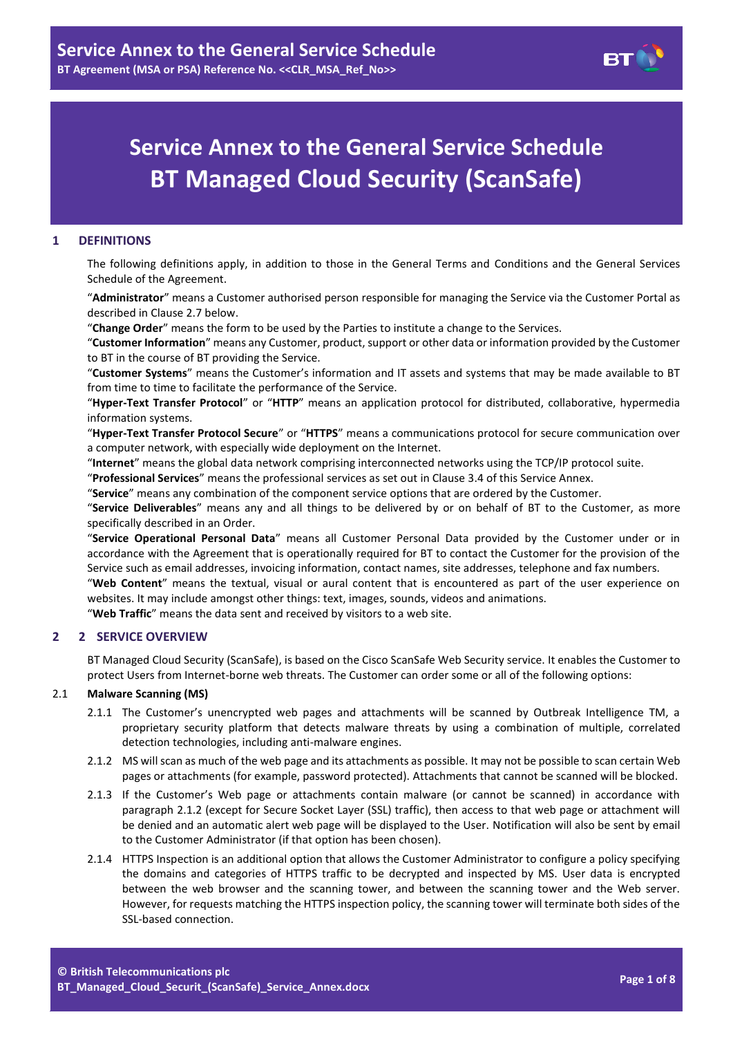

# **Service Annex to the General Service Schedule BT Managed Cloud Security (ScanSafe)**

# **1 DEFINITIONS**

The following definitions apply, in addition to those in the General Terms and Conditions and the General Services Schedule of the Agreement.

"**Administrator**" means a Customer authorised person responsible for managing the Service via the Customer Portal as described in Claus[e 2.7](#page-2-0) below.

"**Change Order**" means the form to be used by the Parties to institute a change to the Services.

"**Customer Information**" means any Customer, product, support or other data or information provided by the Customer to BT in the course of BT providing the Service.

"**Customer Systems**" means the Customer's information and IT assets and systems that may be made available to BT from time to time to facilitate the performance of the Service.

"**Hyper-Text Transfer Protocol**" or "**HTTP**" means an application protocol for distributed, collaborative, hypermedia information systems.

"**Hyper-Text Transfer Protocol Secure**" or "**HTTPS**" means a communications protocol for secure communication over a computer network, with especially wide deployment on the Internet.

"**Internet**" means the global data network comprising interconnected networks using the TCP/IP protocol suite.

"**Professional Services**" means the professional services as set out in Clause [3.4](#page-3-0) of this Service Annex.

"**Service**" means any combination of the component service options that are ordered by the Customer.

"**Service Deliverables**" means any and all things to be delivered by or on behalf of BT to the Customer, as more specifically described in an Order.

"**Service Operational Personal Data**" means all Customer Personal Data provided by the Customer under or in accordance with the Agreement that is operationally required for BT to contact the Customer for the provision of the Service such as email addresses, invoicing information, contact names, site addresses, telephone and fax numbers.

"**Web Content**" means the textual, visual or aural content that is encountered as part of the user experience on websites. It may include amongst other things: text, images, sounds, videos and animations.

"**Web Traffic**" means the data sent and received by visitors to a web site.

# **2 2 SERVICE OVERVIEW**

BT Managed Cloud Security (ScanSafe), is based on the Cisco ScanSafe Web Security service. It enables the Customer to protect Users from Internet-borne web threats. The Customer can order some or all of the following options:

#### 2.1 **Malware Scanning (MS)**

- 2.1.1 The Customer's unencrypted web pages and attachments will be scanned by Outbreak Intelligence TM, a proprietary security platform that detects malware threats by using a combination of multiple, correlated detection technologies, including anti-malware engines.
- <span id="page-0-0"></span>2.1.2 MS will scan as much of the web page and its attachments as possible. It may not be possible to scan certain Web pages or attachments (for example, password protected). Attachments that cannot be scanned will be blocked.
- 2.1.3 If the Customer's Web page or attachments contain malware (or cannot be scanned) in accordance with paragraph [2.1.2](#page-0-0) (except for Secure Socket Layer (SSL) traffic), then access to that web page or attachment will be denied and an automatic alert web page will be displayed to the User. Notification will also be sent by email to the Customer Administrator (if that option has been chosen).
- 2.1.4 HTTPS Inspection is an additional option that allows the Customer Administrator to configure a policy specifying the domains and categories of HTTPS traffic to be decrypted and inspected by MS. User data is encrypted between the web browser and the scanning tower, and between the scanning tower and the Web server. However, for requests matching the HTTPS inspection policy, the scanning tower will terminate both sides of the SSL-based connection.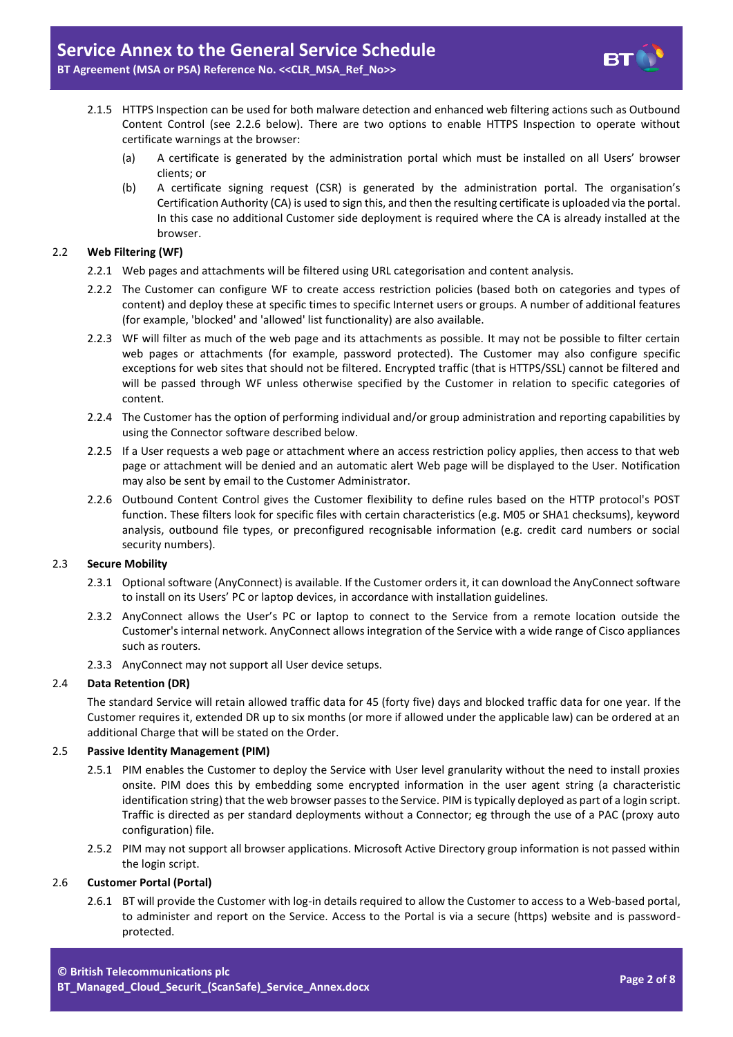- 2.1.5 HTTPS Inspection can be used for both malware detection and enhanced web filtering actions such as Outbound Content Control (see 2.2.6 below). There are two options to enable HTTPS Inspection to operate without certificate warnings at the browser:
	- (a) A certificate is generated by the administration portal which must be installed on all Users' browser clients; or
	- (b) A certificate signing request (CSR) is generated by the administration portal. The organisation's Certification Authority (CA) is used to sign this, and then the resulting certificate is uploaded via the portal. In this case no additional Customer side deployment is required where the CA is already installed at the browser.

# 2.2 **Web Filtering (WF)**

- 2.2.1 Web pages and attachments will be filtered using URL categorisation and content analysis.
- 2.2.2 The Customer can configure WF to create access restriction policies (based both on categories and types of content) and deploy these at specific times to specific Internet users or groups. A number of additional features (for example, 'blocked' and 'allowed' list functionality) are also available.
- 2.2.3 WF will filter as much of the web page and its attachments as possible. It may not be possible to filter certain web pages or attachments (for example, password protected). The Customer may also configure specific exceptions for web sites that should not be filtered. Encrypted traffic (that is HTTPS/SSL) cannot be filtered and will be passed through WF unless otherwise specified by the Customer in relation to specific categories of content.
- 2.2.4 The Customer has the option of performing individual and/or group administration and reporting capabilities by using the Connector software described below.
- 2.2.5 If a User requests a web page or attachment where an access restriction policy applies, then access to that web page or attachment will be denied and an automatic alert Web page will be displayed to the User. Notification may also be sent by email to the Customer Administrator.
- 2.2.6 Outbound Content Control gives the Customer flexibility to define rules based on the HTTP protocol's POST function. These filters look for specific files with certain characteristics (e.g. M05 or SHA1 checksums), keyword analysis, outbound file types, or preconfigured recognisable information (e.g. credit card numbers or social security numbers).

# 2.3 **Secure Mobility**

- 2.3.1 Optional software (AnyConnect) is available. If the Customer orders it, it can download the AnyConnect software to install on its Users' PC or laptop devices, in accordance with installation guidelines.
- 2.3.2 AnyConnect allows the User's PC or laptop to connect to the Service from a remote location outside the Customer's internal network. AnyConnect allows integration of the Service with a wide range of Cisco appliances such as routers.
- 2.3.3 AnyConnect may not support all User device setups.

# 2.4 **Data Retention (DR)**

The standard Service will retain allowed traffic data for 45 (forty five) days and blocked traffic data for one year. If the Customer requires it, extended DR up to six months (or more if allowed under the applicable law) can be ordered at an additional Charge that will be stated on the Order.

# 2.5 **Passive Identity Management (PIM)**

- 2.5.1 PIM enables the Customer to deploy the Service with User level granularity without the need to install proxies onsite. PIM does this by embedding some encrypted information in the user agent string (a characteristic identification string) that the web browser passes to the Service. PIM is typically deployed as part of a login script. Traffic is directed as per standard deployments without a Connector; eg through the use of a PAC (proxy auto configuration) file.
- 2.5.2 PIM may not support all browser applications. Microsoft Active Directory group information is not passed within the login script.

# 2.6 **Customer Portal (Portal)**

2.6.1 BT will provide the Customer with log-in details required to allow the Customer to access to a Web-based portal, to administer and report on the Service. Access to the Portal is via a secure (https) website and is passwordprotected.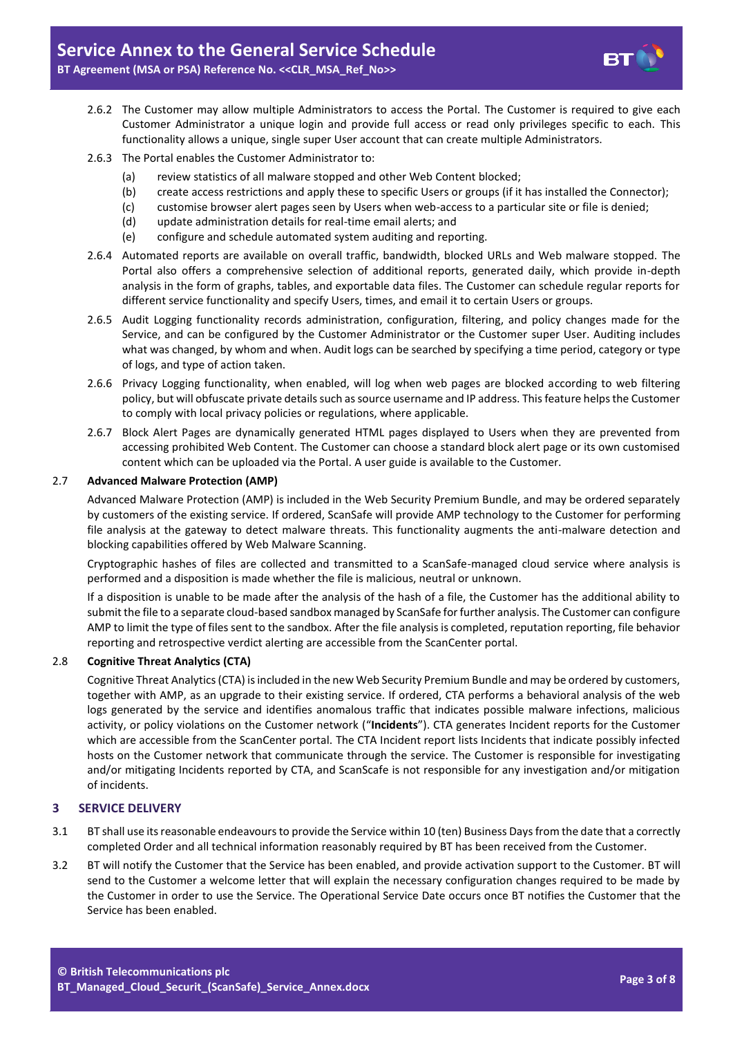

- 2.6.2 The Customer may allow multiple Administrators to access the Portal. The Customer is required to give each Customer Administrator a unique login and provide full access or read only privileges specific to each. This functionality allows a unique, single super User account that can create multiple Administrators.
- 2.6.3 The Portal enables the Customer Administrator to:
	- (a) review statistics of all malware stopped and other Web Content blocked;
	- (b) create access restrictions and apply these to specific Users or groups (if it has installed the Connector);
	- (c) customise browser alert pages seen by Users when web-access to a particular site or file is denied;
	- (d) update administration details for real-time email alerts; and
	- (e) configure and schedule automated system auditing and reporting.
- 2.6.4 Automated reports are available on overall traffic, bandwidth, blocked URLs and Web malware stopped. The Portal also offers a comprehensive selection of additional reports, generated daily, which provide in-depth analysis in the form of graphs, tables, and exportable data files. The Customer can schedule regular reports for different service functionality and specify Users, times, and email it to certain Users or groups.
- 2.6.5 Audit Logging functionality records administration, configuration, filtering, and policy changes made for the Service, and can be configured by the Customer Administrator or the Customer super User. Auditing includes what was changed, by whom and when. Audit logs can be searched by specifying a time period, category or type of logs, and type of action taken.
- 2.6.6 Privacy Logging functionality, when enabled, will log when web pages are blocked according to web filtering policy, but will obfuscate private details such as source username and IP address. This feature helps the Customer to comply with local privacy policies or regulations, where applicable.
- 2.6.7 Block Alert Pages are dynamically generated HTML pages displayed to Users when they are prevented from accessing prohibited Web Content. The Customer can choose a standard block alert page or its own customised content which can be uploaded via the Portal. A user guide is available to the Customer.

#### <span id="page-2-0"></span>2.7 **Advanced Malware Protection (AMP)**

Advanced Malware Protection (AMP) is included in the Web Security Premium Bundle, and may be ordered separately by customers of the existing service. If ordered, ScanSafe will provide AMP technology to the Customer for performing file analysis at the gateway to detect malware threats. This functionality augments the anti-malware detection and blocking capabilities offered by Web Malware Scanning.

Cryptographic hashes of files are collected and transmitted to a ScanSafe-managed cloud service where analysis is performed and a disposition is made whether the file is malicious, neutral or unknown.

If a disposition is unable to be made after the analysis of the hash of a file, the Customer has the additional ability to submit the file to a separate cloud-based sandbox managed by ScanSafe for further analysis. The Customer can configure AMP to limit the type of files sent to the sandbox. After the file analysis is completed, reputation reporting, file behavior reporting and retrospective verdict alerting are accessible from the ScanCenter portal.

#### 2.8 **Cognitive Threat Analytics (CTA)**

Cognitive Threat Analytics (CTA) is included in the new Web Security Premium Bundle and may be ordered by customers, together with AMP, as an upgrade to their existing service. If ordered, CTA performs a behavioral analysis of the web logs generated by the service and identifies anomalous traffic that indicates possible malware infections, malicious activity, or policy violations on the Customer network ("**Incidents**"). CTA generates Incident reports for the Customer which are accessible from the ScanCenter portal. The CTA Incident report lists Incidents that indicate possibly infected hosts on the Customer network that communicate through the service. The Customer is responsible for investigating and/or mitigating Incidents reported by CTA, and ScanScafe is not responsible for any investigation and/or mitigation of incidents.

# **3 SERVICE DELIVERY**

- 3.1 BT shall use its reasonable endeavours to provide the Service within 10 (ten) Business Days from the date that a correctly completed Order and all technical information reasonably required by BT has been received from the Customer.
- 3.2 BT will notify the Customer that the Service has been enabled, and provide activation support to the Customer. BT will send to the Customer a welcome letter that will explain the necessary configuration changes required to be made by the Customer in order to use the Service. The Operational Service Date occurs once BT notifies the Customer that the Service has been enabled.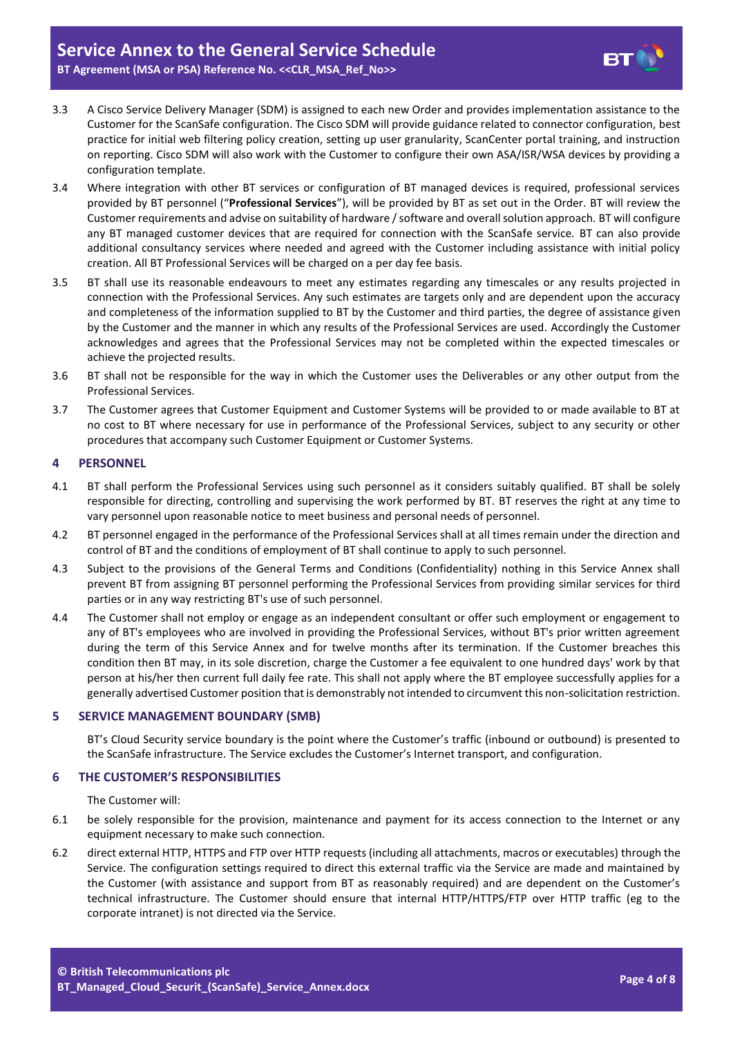

- 3.3 A Cisco Service Delivery Manager (SDM) is assigned to each new Order and provides implementation assistance to the Customer for the ScanSafe configuration. The Cisco SDM will provide guidance related to connector configuration, best practice for initial web filtering policy creation, setting up user granularity, ScanCenter portal training, and instruction on reporting. Cisco SDM will also work with the Customer to configure their own ASA/ISR/WSA devices by providing a configuration template.
- <span id="page-3-0"></span>3.4 Where integration with other BT services or configuration of BT managed devices is required, professional services provided by BT personnel ("**Professional Services**"), will be provided by BT as set out in the Order. BT will review the Customer requirements and advise on suitability of hardware / software and overall solution approach. BT will configure any BT managed customer devices that are required for connection with the ScanSafe service. BT can also provide additional consultancy services where needed and agreed with the Customer including assistance with initial policy creation. All BT Professional Services will be charged on a per day fee basis.
- 3.5 BT shall use its reasonable endeavours to meet any estimates regarding any timescales or any results projected in connection with the Professional Services. Any such estimates are targets only and are dependent upon the accuracy and completeness of the information supplied to BT by the Customer and third parties, the degree of assistance given by the Customer and the manner in which any results of the Professional Services are used. Accordingly the Customer acknowledges and agrees that the Professional Services may not be completed within the expected timescales or achieve the projected results.
- 3.6 BT shall not be responsible for the way in which the Customer uses the Deliverables or any other output from the Professional Services.
- 3.7 The Customer agrees that Customer Equipment and Customer Systems will be provided to or made available to BT at no cost to BT where necessary for use in performance of the Professional Services, subject to any security or other procedures that accompany such Customer Equipment or Customer Systems.

# **4 PERSONNEL**

- 4.1 BT shall perform the Professional Services using such personnel as it considers suitably qualified. BT shall be solely responsible for directing, controlling and supervising the work performed by BT. BT reserves the right at any time to vary personnel upon reasonable notice to meet business and personal needs of personnel.
- 4.2 BT personnel engaged in the performance of the Professional Services shall at all times remain under the direction and control of BT and the conditions of employment of BT shall continue to apply to such personnel.
- 4.3 Subject to the provisions of the General Terms and Conditions (Confidentiality) nothing in this Service Annex shall prevent BT from assigning BT personnel performing the Professional Services from providing similar services for third parties or in any way restricting BT's use of such personnel.
- 4.4 The Customer shall not employ or engage as an independent consultant or offer such employment or engagement to any of BT's employees who are involved in providing the Professional Services, without BT's prior written agreement during the term of this Service Annex and for twelve months after its termination. If the Customer breaches this condition then BT may, in its sole discretion, charge the Customer a fee equivalent to one hundred days' work by that person at his/her then current full daily fee rate. This shall not apply where the BT employee successfully applies for a generally advertised Customer position that is demonstrably not intended to circumvent this non-solicitation restriction.

# **5 SERVICE MANAGEMENT BOUNDARY (SMB)**

BT's Cloud Security service boundary is the point where the Customer's traffic (inbound or outbound) is presented to the ScanSafe infrastructure. The Service excludes the Customer's Internet transport, and configuration.

# **6 THE CUSTOMER'S RESPONSIBILITIES**

The Customer will:

- 6.1 be solely responsible for the provision, maintenance and payment for its access connection to the Internet or any equipment necessary to make such connection.
- 6.2 direct external HTTP, HTTPS and FTP over HTTP requests (including all attachments, macros or executables) through the Service. The configuration settings required to direct this external traffic via the Service are made and maintained by the Customer (with assistance and support from BT as reasonably required) and are dependent on the Customer's technical infrastructure. The Customer should ensure that internal HTTP/HTTPS/FTP over HTTP traffic (eg to the corporate intranet) is not directed via the Service.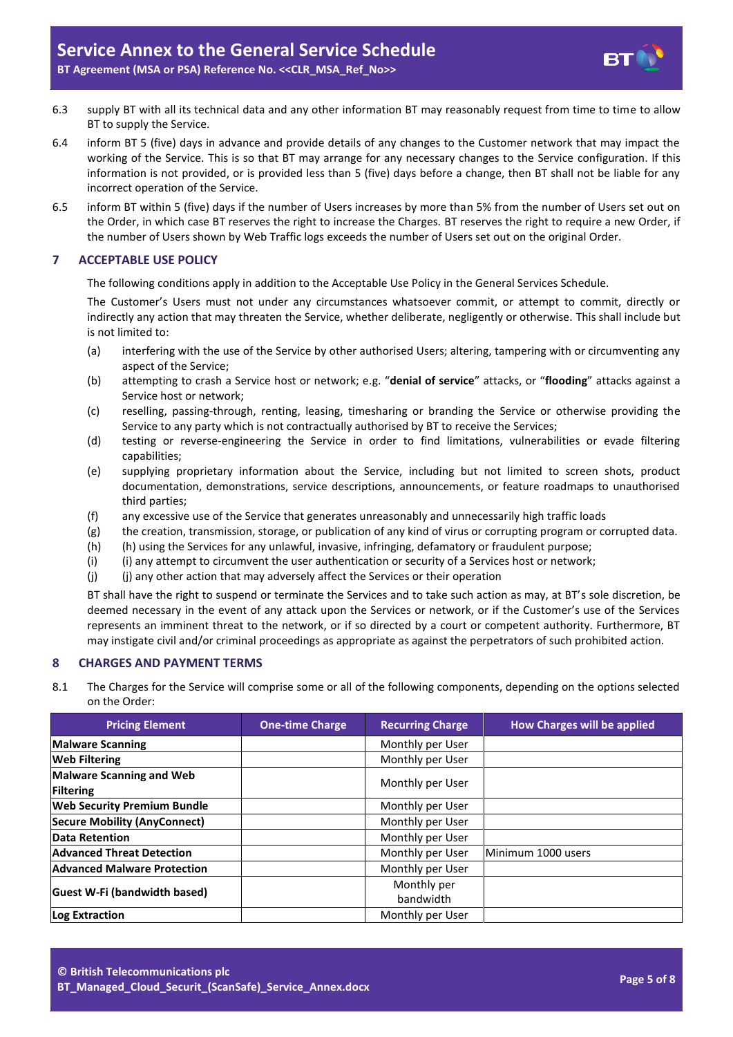- 6.3 supply BT with all its technical data and any other information BT may reasonably request from time to time to allow BT to supply the Service.
- 6.4 inform BT 5 (five) days in advance and provide details of any changes to the Customer network that may impact the working of the Service. This is so that BT may arrange for any necessary changes to the Service configuration. If this information is not provided, or is provided less than 5 (five) days before a change, then BT shall not be liable for any incorrect operation of the Service.
- 6.5 inform BT within 5 (five) days if the number of Users increases by more than 5% from the number of Users set out on the Order, in which case BT reserves the right to increase the Charges. BT reserves the right to require a new Order, if the number of Users shown by Web Traffic logs exceeds the number of Users set out on the original Order.

# **7 ACCEPTABLE USE POLICY**

The following conditions apply in addition to the Acceptable Use Policy in the General Services Schedule.

The Customer's Users must not under any circumstances whatsoever commit, or attempt to commit, directly or indirectly any action that may threaten the Service, whether deliberate, negligently or otherwise. This shall include but is not limited to:

- (a) interfering with the use of the Service by other authorised Users; altering, tampering with or circumventing any aspect of the Service;
- (b) attempting to crash a Service host or network; e.g. "**denial of service**" attacks, or "**flooding**" attacks against a Service host or network;
- (c) reselling, passing-through, renting, leasing, timesharing or branding the Service or otherwise providing the Service to any party which is not contractually authorised by BT to receive the Services;
- (d) testing or reverse-engineering the Service in order to find limitations, vulnerabilities or evade filtering capabilities;
- (e) supplying proprietary information about the Service, including but not limited to screen shots, product documentation, demonstrations, service descriptions, announcements, or feature roadmaps to unauthorised third parties;
- (f) any excessive use of the Service that generates unreasonably and unnecessarily high traffic loads
- (g) the creation, transmission, storage, or publication of any kind of virus or corrupting program or corrupted data.
- (h) (h) using the Services for any unlawful, invasive, infringing, defamatory or fraudulent purpose;
- (i) (i) any attempt to circumvent the user authentication or security of a Services host or network;
- (j) (j) any other action that may adversely affect the Services or their operation

BT shall have the right to suspend or terminate the Services and to take such action as may, at BT's sole discretion, be deemed necessary in the event of any attack upon the Services or network, or if the Customer's use of the Services represents an imminent threat to the network, or if so directed by a court or competent authority. Furthermore, BT may instigate civil and/or criminal proceedings as appropriate as against the perpetrators of such prohibited action.

# **8 CHARGES AND PAYMENT TERMS**

8.1 The Charges for the Service will comprise some or all of the following components, depending on the options selected on the Order:

| <b>Pricing Element</b>                       | <b>One-time Charge</b> | <b>Recurring Charge</b> | How Charges will be applied |
|----------------------------------------------|------------------------|-------------------------|-----------------------------|
| <b>Malware Scanning</b>                      |                        | Monthly per User        |                             |
| <b>Web Filtering</b>                         |                        | Monthly per User        |                             |
| <b>Malware Scanning and Web</b><br>Filtering |                        | Monthly per User        |                             |
| <b>Web Security Premium Bundle</b>           |                        | Monthly per User        |                             |
| <b>Secure Mobility (AnyConnect)</b>          |                        | Monthly per User        |                             |
| Data Retention                               |                        | Monthly per User        |                             |
| <b>Advanced Threat Detection</b>             |                        | Monthly per User        | Minimum 1000 users          |
| <b>Advanced Malware Protection</b>           |                        | Monthly per User        |                             |
| Guest W-Fi (bandwidth based)                 |                        | Monthly per             |                             |
|                                              |                        | bandwidth               |                             |
| Log Extraction                               |                        | Monthly per User        |                             |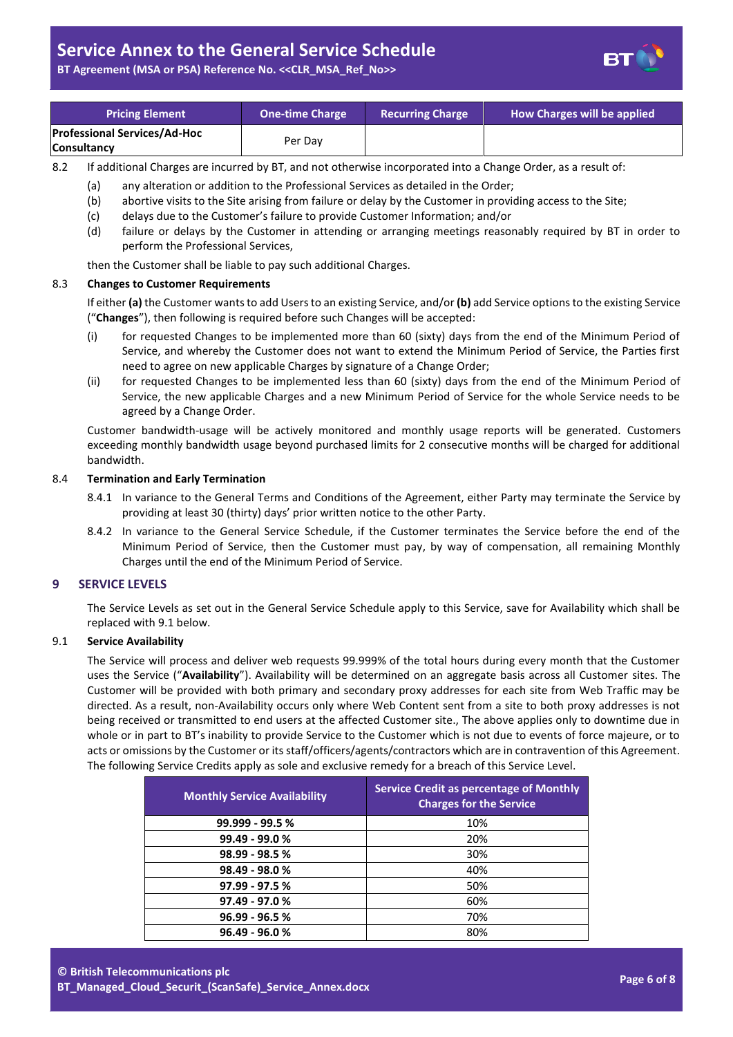# **Service Annex to the General Service Schedule**

**BT Agreement (MSA or PSA) Reference No. <<CLR\_MSA\_Ref\_No>>**

| L<br>г<br>- |  |
|-------------|--|
|             |  |

| <b>Pricing Element</b>                                    | <b>One-time Charge</b> | <b>Recurring Charge</b> | How Charges will be applied |
|-----------------------------------------------------------|------------------------|-------------------------|-----------------------------|
| <b>Professional Services/Ad-Hoc</b><br><b>Consultancy</b> | Per Dav                |                         |                             |

8.2 If additional Charges are incurred by BT, and not otherwise incorporated into a Change Order, as a result of:

- (a) any alteration or addition to the Professional Services as detailed in the Order;
- (b) abortive visits to the Site arising from failure or delay by the Customer in providing access to the Site;
- (c) delays due to the Customer's failure to provide Customer Information; and/or
- (d) failure or delays by the Customer in attending or arranging meetings reasonably required by BT in order to perform the Professional Services,

then the Customer shall be liable to pay such additional Charges.

#### 8.3 **Changes to Customer Requirements**

If either **(a)** the Customer wants to add Users to an existing Service, and/or **(b)** add Service options to the existing Service ("**Changes**"), then following is required before such Changes will be accepted:

- (i) for requested Changes to be implemented more than 60 (sixty) days from the end of the Minimum Period of Service, and whereby the Customer does not want to extend the Minimum Period of Service, the Parties first need to agree on new applicable Charges by signature of a Change Order;
- (ii) for requested Changes to be implemented less than 60 (sixty) days from the end of the Minimum Period of Service, the new applicable Charges and a new Minimum Period of Service for the whole Service needs to be agreed by a Change Order.

Customer bandwidth-usage will be actively monitored and monthly usage reports will be generated. Customers exceeding monthly bandwidth usage beyond purchased limits for 2 consecutive months will be charged for additional bandwidth.

#### 8.4 **Termination and Early Termination**

- 8.4.1 In variance to the General Terms and Conditions of the Agreement, either Party may terminate the Service by providing at least 30 (thirty) days' prior written notice to the other Party.
- 8.4.2 In variance to the General Service Schedule, if the Customer terminates the Service before the end of the Minimum Period of Service, then the Customer must pay, by way of compensation, all remaining Monthly Charges until the end of the Minimum Period of Service.

# **9 SERVICE LEVELS**

The Service Levels as set out in the General Service Schedule apply to this Service, save for Availability which shall be replaced with 9.1 below.

# <span id="page-5-0"></span>9.1 **Service Availability**

The Service will process and deliver web requests 99.999% of the total hours during every month that the Customer uses the Service ("**Availability**"). Availability will be determined on an aggregate basis across all Customer sites. The Customer will be provided with both primary and secondary proxy addresses for each site from Web Traffic may be directed. As a result, non-Availability occurs only where Web Content sent from a site to both proxy addresses is not being received or transmitted to end users at the affected Customer site., The above applies only to downtime due in whole or in part to BT's inability to provide Service to the Customer which is not due to events of force majeure, or to acts or omissions by the Customer or its staff/officers/agents/contractors which are in contravention of this Agreement. The following Service Credits apply as sole and exclusive remedy for a breach of this Service Level.

| <b>Monthly Service Availability</b> | <b>Service Credit as percentage of Monthly</b><br><b>Charges for the Service</b> |
|-------------------------------------|----------------------------------------------------------------------------------|
| 99.999 - 99.5 %                     | 10%                                                                              |
| 99.49 - 99.0 %                      | 20%                                                                              |
| $98.99 - 98.5 %$                    | 30%                                                                              |
| 98.49 - 98.0%                       | 40%                                                                              |
| $97.99 - 97.5 %$                    | 50%                                                                              |
| $97.49 - 97.0 %$                    | 60%                                                                              |
| $96.99 - 96.5 %$                    | 70%                                                                              |
| $96.49 - 96.0 %$                    | 80%                                                                              |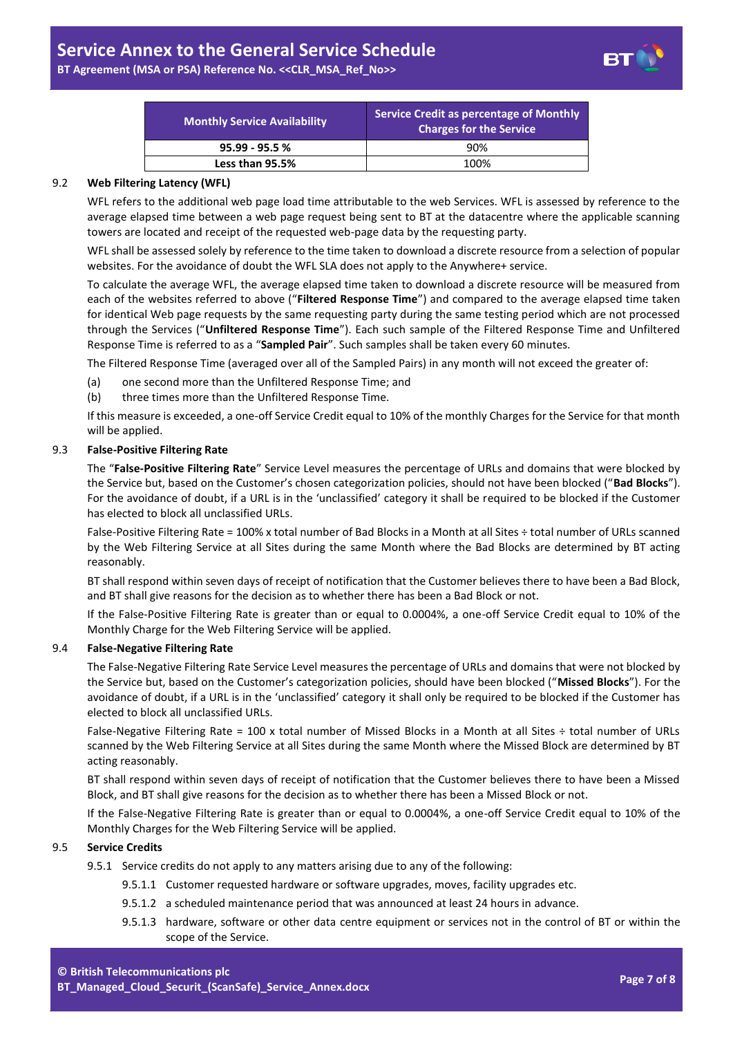**BT Agreement (MSA or PSA) Reference No. <<CLR\_MSA\_Ref\_No>>**

| Ш<br>- - |  |
|----------|--|
|          |  |

| <b>Monthly Service Availability</b> | Service Credit as percentage of Monthly<br><b>Charges for the Service</b> |
|-------------------------------------|---------------------------------------------------------------------------|
| $95.99 - 95.5 %$                    | 90%                                                                       |
| Less than 95.5%                     | 100%                                                                      |

# <span id="page-6-0"></span>9.2 **Web Filtering Latency (WFL)**

WFL refers to the additional web page load time attributable to the web Services. WFL is assessed by reference to the average elapsed time between a web page request being sent to BT at the datacentre where the applicable scanning towers are located and receipt of the requested web-page data by the requesting party.

WFL shall be assessed solely by reference to the time taken to download a discrete resource from a selection of popular websites. For the avoidance of doubt the WFL SLA does not apply to the Anywhere+ service.

To calculate the average WFL, the average elapsed time taken to download a discrete resource will be measured from each of the websites referred to above ("**Filtered Response Time**") and compared to the average elapsed time taken for identical Web page requests by the same requesting party during the same testing period which are not processed through the Services ("**Unfiltered Response Time**"). Each such sample of the Filtered Response Time and Unfiltered Response Time is referred to as a "**Sampled Pair**". Such samples shall be taken every 60 minutes.

The Filtered Response Time (averaged over all of the Sampled Pairs) in any month will not exceed the greater of:

- (a) one second more than the Unfiltered Response Time; and
- (b) three times more than the Unfiltered Response Time.

If this measure is exceeded, a one-off Service Credit equal to 10% of the monthly Charges for the Service for that month will be applied.

# <span id="page-6-1"></span>9.3 **False-Positive Filtering Rate**

The "**False-Positive Filtering Rate**" Service Level measures the percentage of URLs and domains that were blocked by the Service but, based on the Customer's chosen categorization policies, should not have been blocked ("**Bad Blocks**"). For the avoidance of doubt, if a URL is in the 'unclassified' category it shall be required to be blocked if the Customer has elected to block all unclassified URLs.

False-Positive Filtering Rate = 100% x total number of Bad Blocks in a Month at all Sites ÷ total number of URLs scanned by the Web Filtering Service at all Sites during the same Month where the Bad Blocks are determined by BT acting reasonably.

BT shall respond within seven days of receipt of notification that the Customer believes there to have been a Bad Block, and BT shall give reasons for the decision as to whether there has been a Bad Block or not.

If the False-Positive Filtering Rate is greater than or equal to 0.0004%, a one-off Service Credit equal to 10% of the Monthly Charge for the Web Filtering Service will be applied.

# <span id="page-6-2"></span>9.4 **False-Negative Filtering Rate**

The False-Negative Filtering Rate Service Level measures the percentage of URLs and domains that were not blocked by the Service but, based on the Customer's categorization policies, should have been blocked ("**Missed Blocks**"). For the avoidance of doubt, if a URL is in the 'unclassified' category it shall only be required to be blocked if the Customer has elected to block all unclassified URLs.

False-Negative Filtering Rate = 100 x total number of Missed Blocks in a Month at all Sites ÷ total number of URLs scanned by the Web Filtering Service at all Sites during the same Month where the Missed Block are determined by BT acting reasonably.

BT shall respond within seven days of receipt of notification that the Customer believes there to have been a Missed Block, and BT shall give reasons for the decision as to whether there has been a Missed Block or not.

If the False-Negative Filtering Rate is greater than or equal to 0.0004%, a one-off Service Credit equal to 10% of the Monthly Charges for the Web Filtering Service will be applied.

# 9.5 **Service Credits**

- 9.5.1 Service credits do not apply to any matters arising due to any of the following:
	- 9.5.1.1 Customer requested hardware or software upgrades, moves, facility upgrades etc.
	- 9.5.1.2 a scheduled maintenance period that was announced at least 24 hours in advance.
	- 9.5.1.3 hardware, software or other data centre equipment or services not in the control of BT or within the scope of the Service.